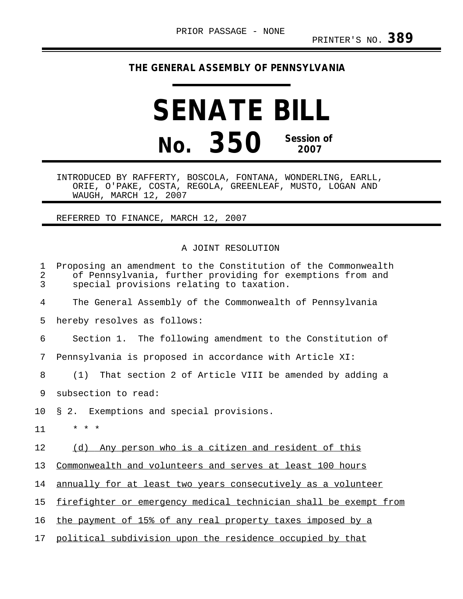## **THE GENERAL ASSEMBLY OF PENNSYLVANIA**

## **SENATE BILL No. 350 Session of 2007**

INTRODUCED BY RAFFERTY, BOSCOLA, FONTANA, WONDERLING, EARLL, ORIE, O'PAKE, COSTA, REGOLA, GREENLEAF, MUSTO, LOGAN AND WAUGH, MARCH 12, 2007

## REFERRED TO FINANCE, MARCH 12, 2007

## A JOINT RESOLUTION

| 1<br>2<br>3 | Proposing an amendment to the Constitution of the Commonwealth<br>of Pennsylvania, further providing for exemptions from and<br>special provisions relating to taxation. |
|-------------|--------------------------------------------------------------------------------------------------------------------------------------------------------------------------|
| 4           | The General Assembly of the Commonwealth of Pennsylvania                                                                                                                 |
| 5           | hereby resolves as follows:                                                                                                                                              |
| 6           | Section 1. The following amendment to the Constitution of                                                                                                                |
| 7           | Pennsylvania is proposed in accordance with Article XI:                                                                                                                  |
| 8           | That section 2 of Article VIII be amended by adding a<br>(1)                                                                                                             |
| 9           | subsection to read:                                                                                                                                                      |
| 10          | § 2. Exemptions and special provisions.                                                                                                                                  |
| 11          | * * *                                                                                                                                                                    |
| 12          | Any person who is a citizen and resident of this<br>(d)                                                                                                                  |
| 13          | Commonwealth and volunteers and serves at least 100 hours                                                                                                                |
| 14          | annually for at least two years consecutively as a volunteer                                                                                                             |
| 15          | firefighter or emergency medical technician shall be exempt from                                                                                                         |
| 16          | the payment of 15% of any real property taxes imposed by a                                                                                                               |
| 17          | political subdivision upon the residence occupied by that                                                                                                                |